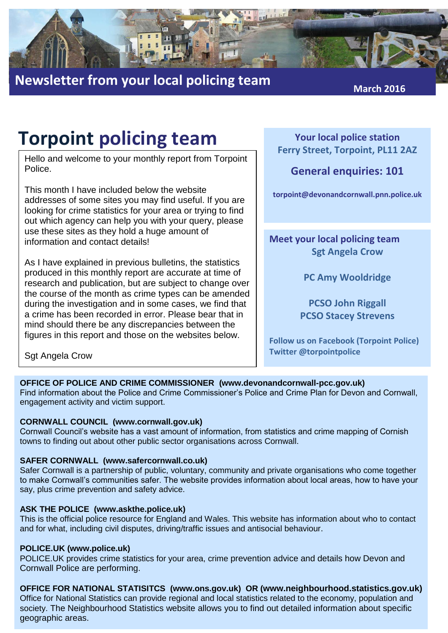

## **Newsletter from your local policing team March** 2016

## **Torpoint policing team**

Hello and welcome to your monthly report from Torpoint Police.

This month I have included below the website addresses of some sites you may find useful. If you are looking for crime statistics for your area or trying to find out which agency can help you with your query, please use these sites as they hold a huge amount of information and contact details!

As I have explained in previous bulletins, the statistics produced in this monthly report are accurate at time of research and publication, but are subject to change over the course of the month as crime types can be amended during the investigation and in some cases, we find that a crime has been recorded in error. Please bear that in mind should there be any discrepancies between the figures in this report and those on the websites below.

**Your local police station Ferry Street, Torpoint, PL11 2AZ**

### **General enquiries: 101**

**torpoint@devonandcornwall.pnn.police.uk**

**Meet your local policing team Sgt Angela Crow**

**PC Amy Wooldridge**

**PCSO John Riggall PCSO Stacey Strevens**

**Follow us on Facebook (Torpoint Police) Twitter @torpointpolice**

Sgt Angela Crow

#### **OFFICE OF POLICE AND CRIME COMMISSIONER (www.devonandcornwall-pcc.gov.uk)**

Find information about the Police and Crime Commissioner's Police and Crime Plan for Devon and Cornwall, engagement activity and victim support.

#### **CORNWALL COUNCIL (www.cornwall.gov.uk)**

Cornwall Council's website has a vast amount of information, from statistics and crime mapping of Cornish towns to finding out about other public sector organisations across Cornwall.

#### **SAFER CORNWALL (www.safercornwall.co.uk)**

Safer Cornwall is a partnership of public, voluntary, community and private organisations who come together to make Cornwall's communities safer. The website provides information about local areas, how to have your say, plus crime prevention and safety advice.

#### **ASK THE POLICE (www.askthe.police.uk)**

This is the official police resource for England and Wales. This website has information about who to contact and for what, including civil disputes, driving/traffic issues and antisocial behaviour.

#### **POLICE.UK (www.police.uk)**

POLICE.UK provides crime statistics for your area, crime prevention advice and details how Devon and Cornwall Police are performing.

#### **OFFICE FOR NATIONAL STATISITCS (www.ons.gov.uk) OR (www.neighbourhood.statistics.gov.uk)**

Office for National Statistics can provide regional and local statistics related to the economy, population and society. The Neighbourhood Statistics website allows you to find out detailed information about specific geographic areas.